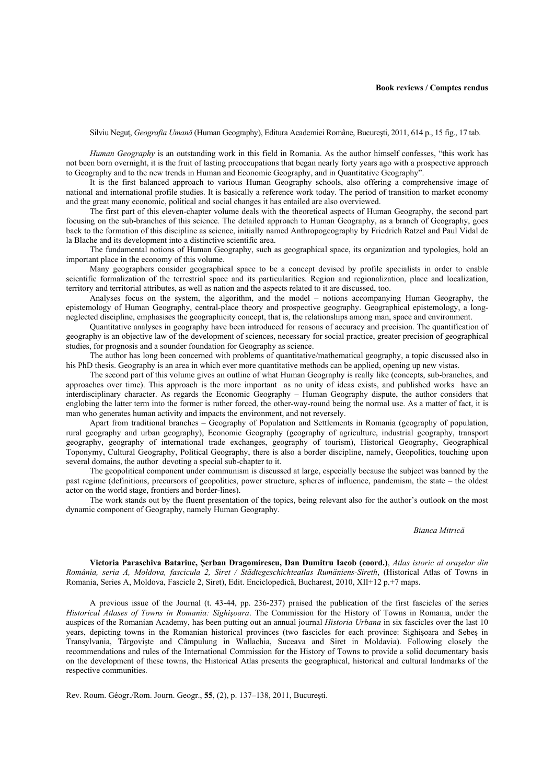Silviu Neguţ, *Geografia Umană* (Human Geography), Editura Academiei Române, Bucureşti, 2011, 614 p., 15 fig., 17 tab.

*Human Geography* is an outstanding work in this field in Romania. As the author himself confesses, "this work has not been born overnight, it is the fruit of lasting preoccupations that began nearly forty years ago with a prospective approach to Geography and to the new trends in Human and Economic Geography, and in Quantitative Geography".

It is the first balanced approach to various Human Geography schools, also offering a comprehensive image of national and international profile studies. It is basically a reference work today. The period of transition to market economy and the great many economic, political and social changes it has entailed are also overviewed.

The first part of this eleven-chapter volume deals with the theoretical aspects of Human Geography, the second part focusing on the sub-branches of this science. The detailed approach to Human Geography, as a branch of Geography, goes back to the formation of this discipline as science, initially named Anthropogeography by Friedrich Ratzel and Paul Vidal de la Blache and its development into a distinctive scientific area.

The fundamental notions of Human Geography, such as geographical space, its organization and typologies, hold an important place in the economy of this volume.

Many geographers consider geographical space to be a concept devised by profile specialists in order to enable scientific formalization of the terrestrial space and its particularities. Region and regionalization, place and localization, territory and territorial attributes, as well as nation and the aspects related to it are discussed, too.

Analyses focus on the system, the algorithm, and the model – notions accompanying Human Geography, the epistemology of Human Geography, central-place theory and prospective geography. Geographical epistemology, a longneglected discipline, emphasises the geographicity concept, that is, the relationships among man, space and environment.

Quantitative analyses in geography have been introduced for reasons of accuracy and precision. The quantification of geography is an objective law of the development of sciences, necessary for social practice, greater precision of geographical studies, for prognosis and a sounder foundation for Geography as science.

The author has long been concerned with problems of quantitative/mathematical geography, a topic discussed also in his PhD thesis. Geography is an area in which ever more quantitative methods can be applied, opening up new vistas.

The second part of this volume gives an outline of what Human Geography is really like (concepts, sub-branches, and approaches over time). This approach is the more important as no unity of ideas exists, and published works have an interdisciplinary character. As regards the Economic Geography – Human Geography dispute, the author considers that englobing the latter term into the former is rather forced, the other-way-round being the normal use. As a matter of fact, it is man who generates human activity and impacts the environment, and not reversely.

Apart from traditional branches – Geography of Population and Settlements in Romania (geography of population, rural geography and urban geography), Economic Geography (geography of agriculture, industrial geography, transport geography, geography of international trade exchanges, geography of tourism), Historical Geography, Geographical Toponymy, Cultural Geography, Political Geography, there is also a border discipline, namely, Geopolitics, touching upon several domains, the author devoting a special sub-chapter to it.

The geopolitical component under communism is discussed at large, especially because the subject was banned by the past regime (definitions, precursors of geopolitics, power structure, spheres of influence, pandemism, the state – the oldest actor on the world stage, frontiers and border-lines).

The work stands out by the fluent presentation of the topics, being relevant also for the author's outlook on the most dynamic component of Geography, namely Human Geography.

## *Bianca Mitrică*

**Victoria Paraschiva Batariuc, Şerban Dragomirescu, Dan Dumitru Iacob (coord.)**, *Atlas istoric al oraşelor din România, seria A, Moldova, fascicula 2, Siret / Städtegeschichteatlas Rumäniens-Sireth*, (Historical Atlas of Towns in Romania, Series A, Moldova, Fascicle 2, Siret), Edit. Enciclopedică, Bucharest, 2010, XII+12 p.+7 maps.

A previous issue of the Journal (t. 43-44, pp. 236-237) praised the publication of the first fascicles of the series *Historical Atlases of Towns in Romania: Sighişoara*. The Commission for the History of Towns in Romania, under the auspices of the Romanian Academy, has been putting out an annual journal *Historia Urbana* in six fascicles over the last 10 years, depicting towns in the Romanian historical provinces (two fascicles for each province: Sighişoara and Sebeş in Transylvania, Târgovişte and Câmpulung in Wallachia, Suceava and Siret in Moldavia). Following closely the recommendations and rules of the International Commission for the History of Towns to provide a solid documentary basis on the development of these towns, the Historical Atlas presents the geographical, historical and cultural landmarks of the respective communities.

Rev. Roum. Géogr./Rom. Journ. Geogr., **55**, (2), p. 137–138, 2011, Bucureşti.